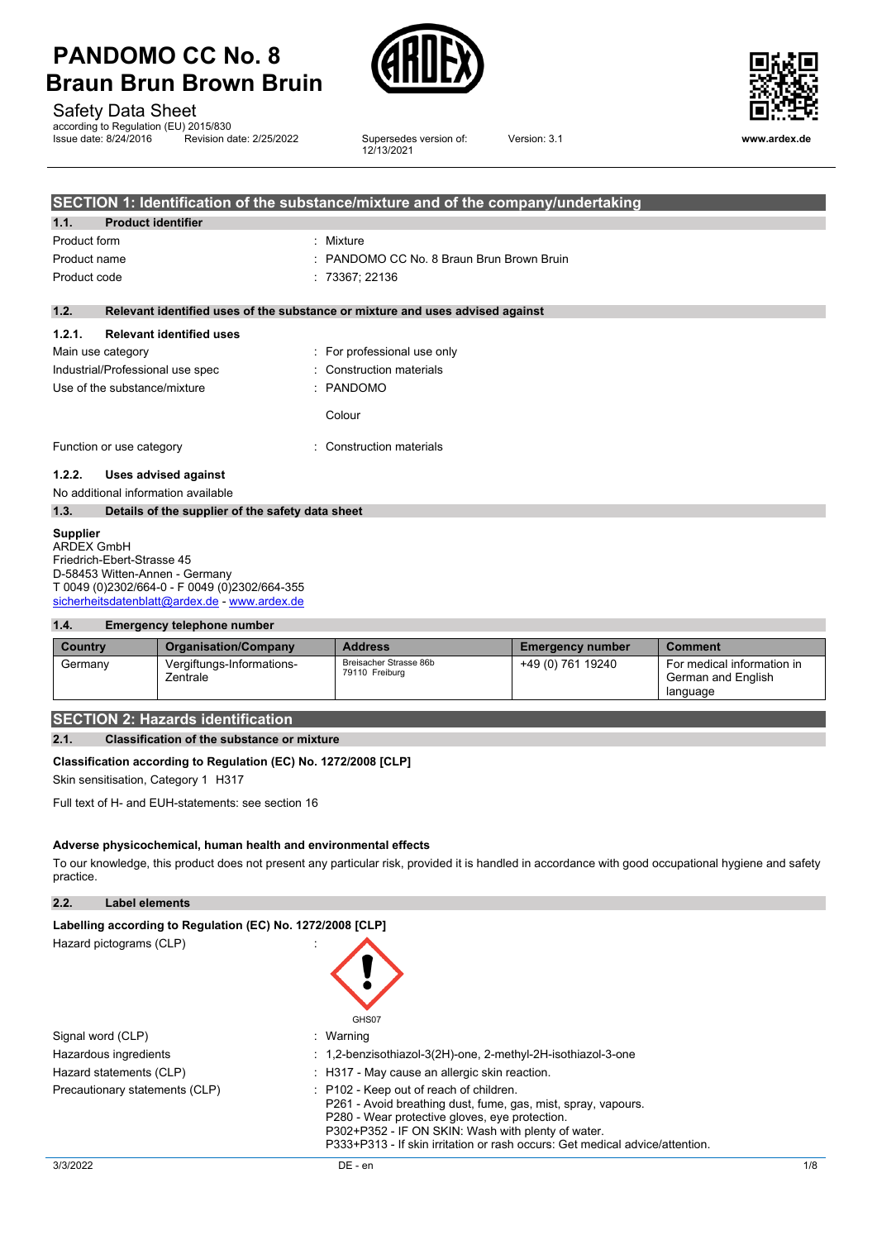

Safety Data Sheet

according to Regulation (EU) 2015/830<br>Issue date: 8/24/2016 Revision d Revision date: 2/25/2022

Supersedes version of:<br>12/13/2021



Version: 3.1 **www.ardex.de**

|              | SECTION 1: Identification of the substance/mixture and of the company/undertaking |                                                                               |  |
|--------------|-----------------------------------------------------------------------------------|-------------------------------------------------------------------------------|--|
| 1.1.         | <b>Product identifier</b>                                                         |                                                                               |  |
| Product form |                                                                                   | : Mixture                                                                     |  |
| Product name |                                                                                   | : PANDOMO CC No. 8 Braun Brun Brown Bruin                                     |  |
| Product code |                                                                                   | : 73367; 22136                                                                |  |
| 1.2.         |                                                                                   | Relevant identified uses of the substance or mixture and uses advised against |  |
| 1.2.1.       | <b>Relevant identified uses</b>                                                   |                                                                               |  |
|              | Main use category                                                                 | : For professional use only                                                   |  |
|              | Industrial/Professional use spec                                                  | : Construction materials                                                      |  |
|              | Use of the substance/mixture                                                      | : PANDOMO                                                                     |  |
|              |                                                                                   | Colour                                                                        |  |
|              | Function or use category                                                          | : Construction materials                                                      |  |
| 1.2.2.       | Uses advised against                                                              |                                                                               |  |
|              | No additional information available                                               |                                                                               |  |
| 1.3.         | Details of the supplier of the safety data sheet                                  |                                                                               |  |

### **Supplier**

ARDEX GmbH Friedrich-Ebert-Strasse 45 D-58453 Witten-Annen - Germany T 0049 (0)2302/664-0 - F 0049 (0)2302/664-355 [sicherheitsdatenblatt@ardex.de](mailto:sicherheitsdatenblatt@ardex.de) - [www.ardex.de](http://www.ardex.de/)

## **1.4. Emergency telephone number**

| Country | <b>Organisation/Company</b>           | <b>Address</b>                           | <b>Emergency number</b> | <b>Comment</b>                                               |
|---------|---------------------------------------|------------------------------------------|-------------------------|--------------------------------------------------------------|
| Germany | Vergiftungs-Informations-<br>Zentrale | Breisacher Strasse 86b<br>79110 Freiburg | +49 (0) 761 19240       | For medical information in<br>German and English<br>language |

# **SECTION 2: Hazards identification**

# **2.1. Classification of the substance or mixture**

## **Classification according to Regulation (EC) No. 1272/2008 [CLP]**

Skin sensitisation, Category 1 H317

Full text of H- and EUH-statements: see section 16

## **Adverse physicochemical, human health and environmental effects**

To our knowledge, this product does not present any particular risk, provided it is handled in accordance with good occupational hygiene and safety practice.

**2.2. Label elements**

| Labelling according to Regulation (EC) No. 1272/2008 [CLP] |                                                                                                                                                                                                                                                                                                             |
|------------------------------------------------------------|-------------------------------------------------------------------------------------------------------------------------------------------------------------------------------------------------------------------------------------------------------------------------------------------------------------|
| Hazard pictograms (CLP)                                    | GHS07                                                                                                                                                                                                                                                                                                       |
| Signal word (CLP)                                          | : Warning                                                                                                                                                                                                                                                                                                   |
| Hazardous ingredients                                      | : 1,2-benzisothiazol-3(2H)-one, 2-methyl-2H-isothiazol-3-one                                                                                                                                                                                                                                                |
| Hazard statements (CLP)                                    | : H317 - May cause an allergic skin reaction.                                                                                                                                                                                                                                                               |
| Precautionary statements (CLP)                             | $\therefore$ P102 - Keep out of reach of children.<br>P261 - Avoid breathing dust, fume, gas, mist, spray, vapours.<br>P280 - Wear protective gloves, eve protection.<br>P302+P352 - IF ON SKIN: Wash with plenty of water.<br>P333+P313 - If skin irritation or rash occurs: Get medical advice/attention. |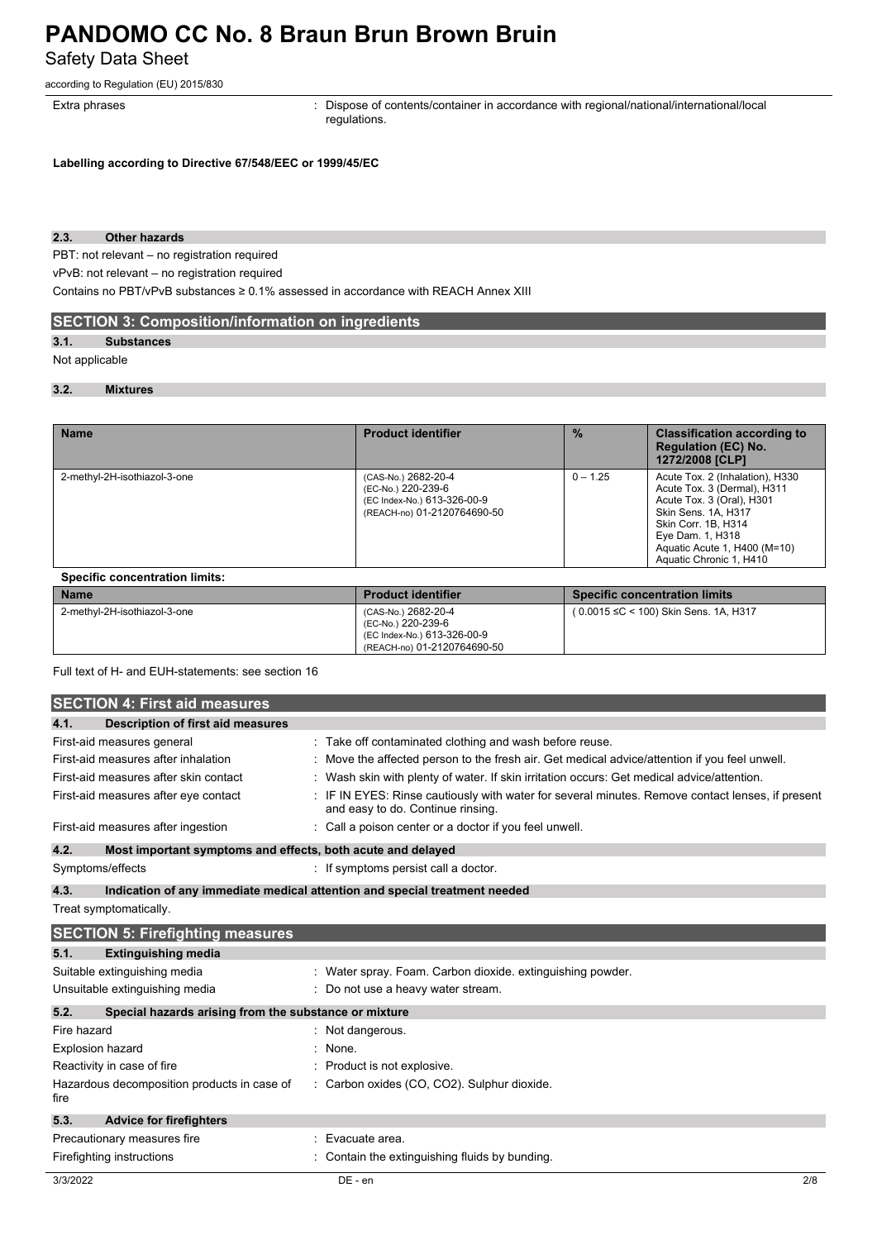# **PANDOMO CC No. 8 Braun Brun Brown Bruin** Safety Data Sheet

according to Regulation (EU) 2015/830

Extra phrases **in the pharaely contents**: Dispose of contents/container in accordance with regional/national/international/local regulations.

**Labelling according to Directive 67/548/EEC or 1999/45/EC**

# **2.3. Other hazards**

PBT: not relevant – no registration required

vPvB: not relevant – no registration required

Contains no PBT/vPvB substances ≥ 0.1% assessed in accordance with REACH Annex XIII

# **SECTION 3: Composition/information on ingredients**

# **3.1. Substances**

#### Not applicable

#### **3.2. Mixtures**

| <b>Name</b>                           | <b>Product identifier</b>                                                                               | $\frac{0}{2}$ | <b>Classification according to</b><br><b>Regulation (EC) No.</b><br>1272/2008 [CLP]                                                                                                                                      |  |
|---------------------------------------|---------------------------------------------------------------------------------------------------------|---------------|--------------------------------------------------------------------------------------------------------------------------------------------------------------------------------------------------------------------------|--|
| 2-methyl-2H-isothiazol-3-one          | (CAS-No.) 2682-20-4<br>(EC-No.) 220-239-6<br>(EC Index-No.) 613-326-00-9<br>(REACH-no) 01-2120764690-50 | $0 - 1.25$    | Acute Tox. 2 (Inhalation), H330<br>Acute Tox. 3 (Dermal), H311<br>Acute Tox. 3 (Oral), H301<br>Skin Sens, 1A, H317<br>Skin Corr. 1B. H314<br>Eye Dam. 1, H318<br>Aquatic Acute 1, H400 (M=10)<br>Aquatic Chronic 1, H410 |  |
| <b>Specific concentration limits:</b> |                                                                                                         |               |                                                                                                                                                                                                                          |  |
| <b>Name</b>                           | <b>Product identifier</b>                                                                               |               | <b>Specific concentration limits</b>                                                                                                                                                                                     |  |
| 2-methyl-2H-isothiazol-3-one          | (CAS-No.) 2682-20-4                                                                                     |               | (0.0015 ≤C < 100) Skin Sens, 1A, H317                                                                                                                                                                                    |  |

(EC-No.) 220-239-6 (EC Index-No.) 613-326-00-9 (REACH-no) 01-2120764690-50

Full text of H- and EUH-statements: see section 16

|                         | <b>SECTION 4: First aid measures</b>                        |                                                                                                                                     |
|-------------------------|-------------------------------------------------------------|-------------------------------------------------------------------------------------------------------------------------------------|
| 4.1.                    | <b>Description of first aid measures</b>                    |                                                                                                                                     |
|                         | First-aid measures general                                  | Take off contaminated clothing and wash before reuse.                                                                               |
|                         | First-aid measures after inhalation                         | Move the affected person to the fresh air. Get medical advice/attention if you feel unwell.                                         |
|                         | First-aid measures after skin contact                       | Wash skin with plenty of water. If skin irritation occurs: Get medical advice/attention.                                            |
|                         | First-aid measures after eye contact                        | IF IN EYES: Rinse cautiously with water for several minutes. Remove contact lenses, if present<br>and easy to do. Continue rinsing. |
|                         | First-aid measures after ingestion                          | Call a poison center or a doctor if you feel unwell.                                                                                |
| 4.2.                    | Most important symptoms and effects, both acute and delayed |                                                                                                                                     |
|                         | Symptoms/effects                                            | : If symptoms persist call a doctor.                                                                                                |
| 4.3.                    |                                                             | Indication of any immediate medical attention and special treatment needed                                                          |
|                         | Treat symptomatically.                                      |                                                                                                                                     |
|                         | <b>SECTION 5: Firefighting measures</b>                     |                                                                                                                                     |
| 5.1.                    | <b>Extinguishing media</b>                                  |                                                                                                                                     |
|                         | Suitable extinguishing media                                | Water spray. Foam. Carbon dioxide. extinguishing powder.                                                                            |
|                         | Unsuitable extinguishing media                              | Do not use a heavy water stream.                                                                                                    |
| 5.2.                    | Special hazards arising from the substance or mixture       |                                                                                                                                     |
| Fire hazard             |                                                             | Not dangerous.                                                                                                                      |
| <b>Explosion hazard</b> |                                                             | None.                                                                                                                               |
|                         | Reactivity in case of fire                                  | Product is not explosive.                                                                                                           |
| fire                    | Hazardous decomposition products in case of                 | Carbon oxides (CO, CO2). Sulphur dioxide.                                                                                           |
| 5.3.                    | <b>Advice for firefighters</b>                              |                                                                                                                                     |
|                         | Precautionary measures fire                                 | Evacuate area.                                                                                                                      |
|                         | Firefighting instructions                                   | Contain the extinguishing fluids by bunding.                                                                                        |
| 3/3/2022                |                                                             | DE - en<br>2/8                                                                                                                      |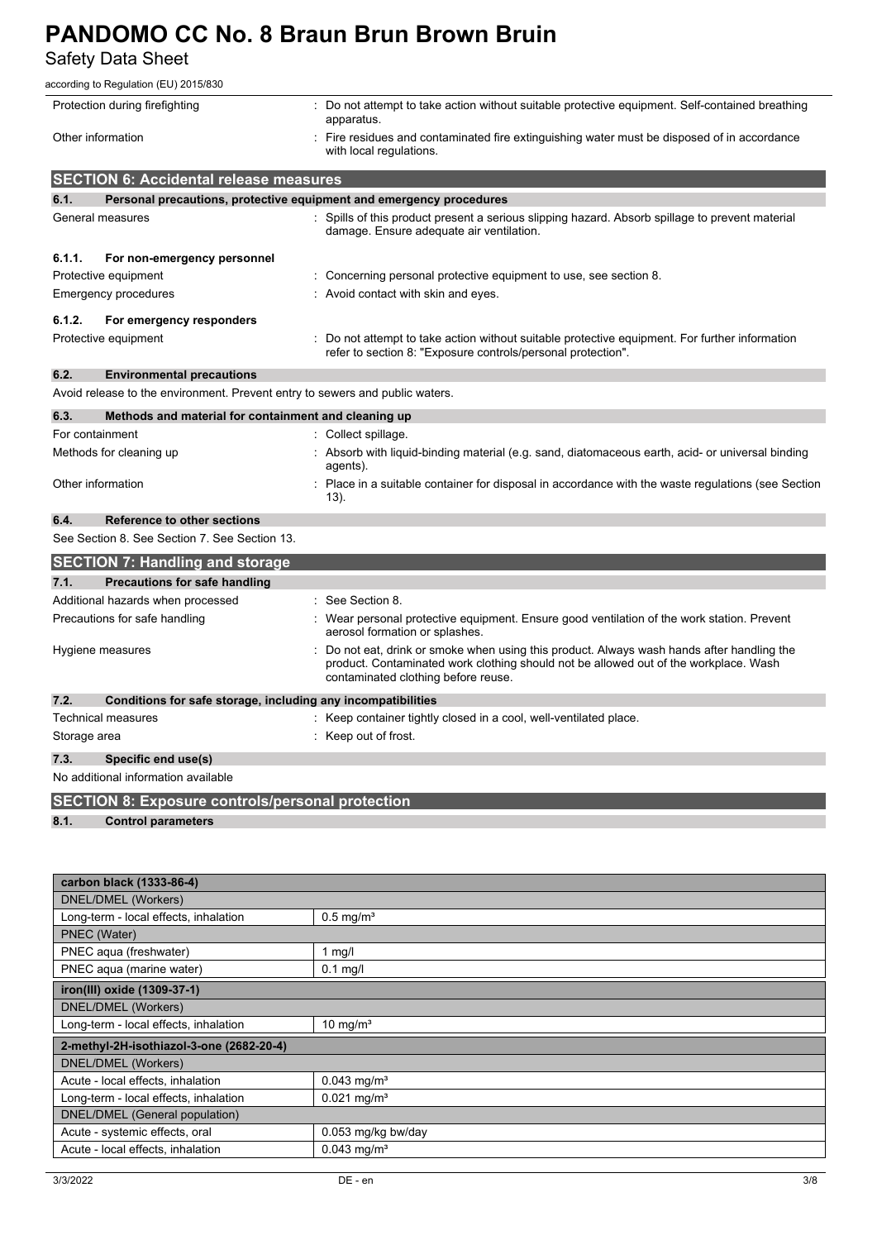Safety Data Sheet

| according to Regulation (EU) 2015/830                                        |                                                                                                                                                                                                                         |
|------------------------------------------------------------------------------|-------------------------------------------------------------------------------------------------------------------------------------------------------------------------------------------------------------------------|
| Protection during firefighting                                               | : Do not attempt to take action without suitable protective equipment. Self-contained breathing                                                                                                                         |
|                                                                              | apparatus.                                                                                                                                                                                                              |
| Other information                                                            | Fire residues and contaminated fire extinguishing water must be disposed of in accordance<br>with local regulations.                                                                                                    |
| <b>SECTION 6: Accidental release measures</b>                                |                                                                                                                                                                                                                         |
| 6.1.                                                                         | Personal precautions, protective equipment and emergency procedures                                                                                                                                                     |
| General measures                                                             | : Spills of this product present a serious slipping hazard. Absorb spillage to prevent material                                                                                                                         |
|                                                                              | damage. Ensure adequate air ventilation.                                                                                                                                                                                |
| 6.1.1.<br>For non-emergency personnel                                        |                                                                                                                                                                                                                         |
| Protective equipment                                                         | Concerning personal protective equipment to use, see section 8.                                                                                                                                                         |
| Emergency procedures                                                         | : Avoid contact with skin and eyes.                                                                                                                                                                                     |
| 6.1.2.<br>For emergency responders                                           |                                                                                                                                                                                                                         |
| Protective equipment                                                         | Do not attempt to take action without suitable protective equipment. For further information<br>refer to section 8: "Exposure controls/personal protection".                                                            |
| 6.2.<br><b>Environmental precautions</b>                                     |                                                                                                                                                                                                                         |
| Avoid release to the environment. Prevent entry to sewers and public waters. |                                                                                                                                                                                                                         |
| 6.3.<br>Methods and material for containment and cleaning up                 |                                                                                                                                                                                                                         |
| For containment                                                              | : Collect spillage.                                                                                                                                                                                                     |
| Methods for cleaning up                                                      | Absorb with liquid-binding material (e.g. sand, diatomaceous earth, acid- or universal binding<br>agents).                                                                                                              |
| Other information                                                            | Place in a suitable container for disposal in accordance with the waste regulations (see Section<br>$(13)$ .                                                                                                            |
| 6.4.<br>Reference to other sections                                          |                                                                                                                                                                                                                         |
| See Section 8. See Section 7. See Section 13.                                |                                                                                                                                                                                                                         |
| <b>SECTION 7: Handling and storage</b>                                       |                                                                                                                                                                                                                         |
| 7.1.<br>Precautions for safe handling                                        |                                                                                                                                                                                                                         |
| Additional hazards when processed                                            | See Section 8.                                                                                                                                                                                                          |
| Precautions for safe handling                                                | Wear personal protective equipment. Ensure good ventilation of the work station. Prevent<br>aerosol formation or splashes.                                                                                              |
| Hygiene measures                                                             | Do not eat, drink or smoke when using this product. Always wash hands after handling the<br>product. Contaminated work clothing should not be allowed out of the workplace. Wash<br>contaminated clothing before reuse. |
| 7.2.<br>Conditions for safe storage, including any incompatibilities         |                                                                                                                                                                                                                         |
| Technical measures                                                           | : Keep container tightly closed in a cool, well-ventilated place.                                                                                                                                                       |
| Storage area                                                                 | : Keep out of frost.                                                                                                                                                                                                    |
| 7.3.<br>Specific end use(s)                                                  |                                                                                                                                                                                                                         |
| No additional information available                                          |                                                                                                                                                                                                                         |
| <b>SECTION 8: Exposure controls/personal protection</b>                      |                                                                                                                                                                                                                         |
| 8.1.<br><b>Control parameters</b>                                            |                                                                                                                                                                                                                         |
|                                                                              |                                                                                                                                                                                                                         |
|                                                                              |                                                                                                                                                                                                                         |
| carbon black (1333-86-4)                                                     |                                                                                                                                                                                                                         |
| <b>DNEL/DMEL (Workers)</b>                                                   |                                                                                                                                                                                                                         |
| Long-term - local effects, inhalation                                        | $0.5$ mg/m <sup>3</sup>                                                                                                                                                                                                 |
| PNEC (Water)                                                                 |                                                                                                                                                                                                                         |
| PNEC aqua (freshwater)<br>PNEC aqua (marine water)                           | $1$ mg/l<br>$0.1$ mg/l                                                                                                                                                                                                  |
| iron(III) oxide (1309-37-1)                                                  |                                                                                                                                                                                                                         |
| <b>DNEL/DMEL (Workers)</b>                                                   |                                                                                                                                                                                                                         |
| Long-term - local effects, inhalation                                        | 10 mg/m <sup>3</sup>                                                                                                                                                                                                    |
| 2-methyl-2H-isothiazol-3-one (2682-20-4)                                     |                                                                                                                                                                                                                         |
| <b>DNEL/DMEL (Workers)</b>                                                   |                                                                                                                                                                                                                         |
| Acute - local effects, inhalation                                            | $0.043$ mg/m <sup>3</sup>                                                                                                                                                                                               |
| Long-term - local effects, inhalation                                        | $0.021$ mg/m <sup>3</sup>                                                                                                                                                                                               |
| DNEL/DMEL (General population)                                               |                                                                                                                                                                                                                         |
| Acute - systemic effects, oral<br>Acute - local effects, inhalation          | 0.053 mg/kg bw/day<br>$0.043$ mg/m <sup>3</sup>                                                                                                                                                                         |
|                                                                              |                                                                                                                                                                                                                         |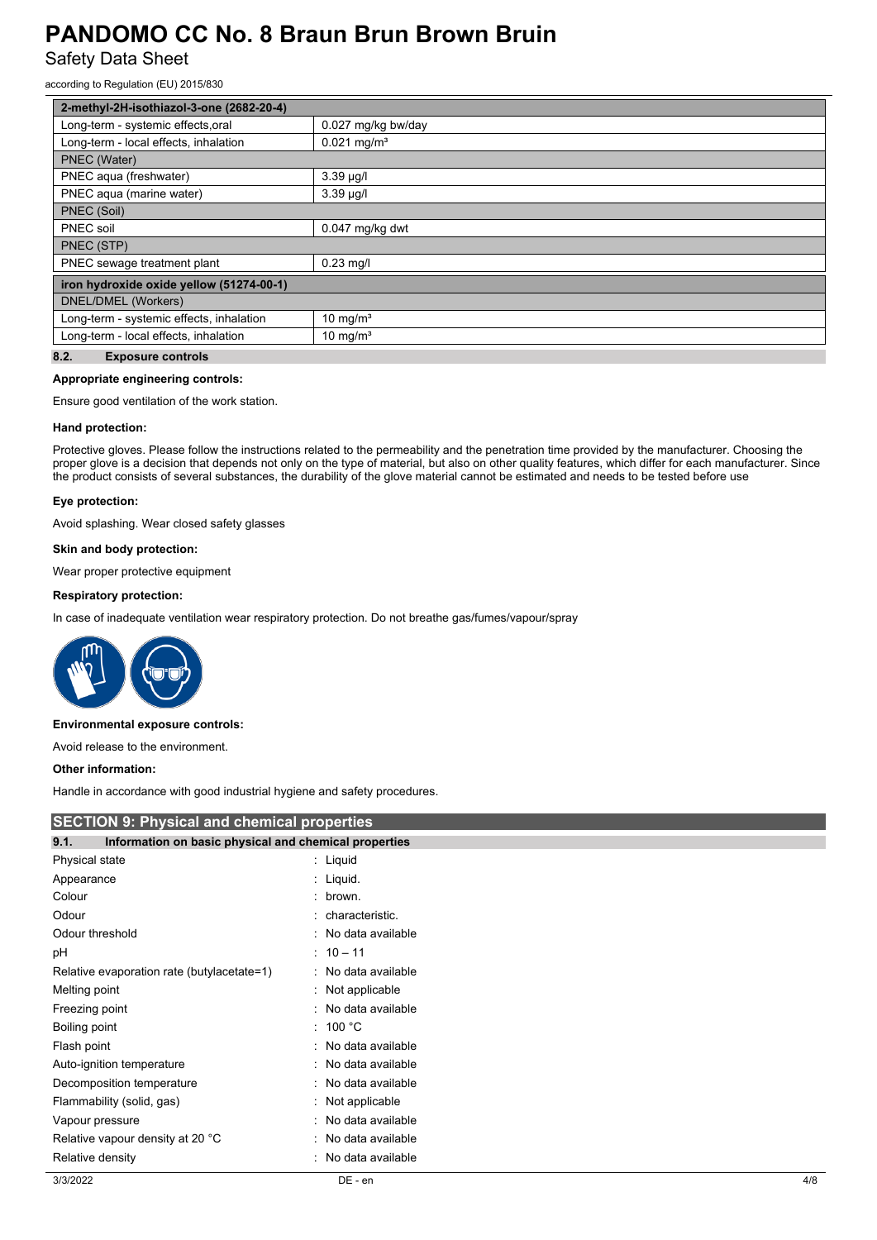Safety Data Sheet

according to Regulation (EU) 2015/830

| 2-methyl-2H-isothiazol-3-one (2682-20-4)                                                                                                                                                                                                                                                                                                                                                                                                                                        |                           |  |
|---------------------------------------------------------------------------------------------------------------------------------------------------------------------------------------------------------------------------------------------------------------------------------------------------------------------------------------------------------------------------------------------------------------------------------------------------------------------------------|---------------------------|--|
| Long-term - systemic effects, oral                                                                                                                                                                                                                                                                                                                                                                                                                                              | 0.027 mg/kg bw/day        |  |
| Long-term - local effects, inhalation                                                                                                                                                                                                                                                                                                                                                                                                                                           | $0.021$ mg/m <sup>3</sup> |  |
| PNEC (Water)                                                                                                                                                                                                                                                                                                                                                                                                                                                                    |                           |  |
| PNEC aqua (freshwater)                                                                                                                                                                                                                                                                                                                                                                                                                                                          | $3.39 \mu g/l$            |  |
| PNEC agua (marine water)                                                                                                                                                                                                                                                                                                                                                                                                                                                        | $3.39 \mu g/l$            |  |
| PNEC (Soil)                                                                                                                                                                                                                                                                                                                                                                                                                                                                     |                           |  |
| PNEC soil                                                                                                                                                                                                                                                                                                                                                                                                                                                                       | 0.047 mg/kg dwt           |  |
| PNEC (STP)                                                                                                                                                                                                                                                                                                                                                                                                                                                                      |                           |  |
| PNEC sewage treatment plant                                                                                                                                                                                                                                                                                                                                                                                                                                                     | $0.23$ mg/l               |  |
| iron hydroxide oxide yellow (51274-00-1)                                                                                                                                                                                                                                                                                                                                                                                                                                        |                           |  |
| DNEL/DMEL (Workers)                                                                                                                                                                                                                                                                                                                                                                                                                                                             |                           |  |
| Long-term - systemic effects, inhalation                                                                                                                                                                                                                                                                                                                                                                                                                                        | 10 mg/ $m3$               |  |
| Long-term - local effects, inhalation                                                                                                                                                                                                                                                                                                                                                                                                                                           | 10 mg/ $m3$               |  |
| $\overline{\phantom{a}}$ $\overline{\phantom{a}}$ $\overline{\phantom{a}}$ $\overline{\phantom{a}}$ $\overline{\phantom{a}}$ $\overline{\phantom{a}}$ $\overline{\phantom{a}}$ $\overline{\phantom{a}}$ $\overline{\phantom{a}}$ $\overline{\phantom{a}}$ $\overline{\phantom{a}}$ $\overline{\phantom{a}}$ $\overline{\phantom{a}}$ $\overline{\phantom{a}}$ $\overline{\phantom{a}}$ $\overline{\phantom{a}}$ $\overline{\phantom{a}}$ $\overline{\phantom{a}}$ $\overline{\$ |                           |  |

#### **8.2. Exposure controls**

# **Appropriate engineering controls:**

Ensure good ventilation of the work station.

#### **Hand protection:**

Protective gloves. Please follow the instructions related to the permeability and the penetration time provided by the manufacturer. Choosing the proper glove is a decision that depends not only on the type of material, but also on other quality features, which differ for each manufacturer. Since the product consists of several substances, the durability of the glove material cannot be estimated and needs to be tested before use

#### **Eye protection:**

Avoid splashing. Wear closed safety glasses

#### **Skin and body protection:**

Wear proper protective equipment

# **Respiratory protection:**

In case of inadequate ventilation wear respiratory protection. Do not breathe gas/fumes/vapour/spray



#### **Environmental exposure controls:**

Avoid release to the environment.

## **Other information:**

Handle in accordance with good industrial hygiene and safety procedures.

| <b>SECTION 9: Physical and chemical properties</b> |                                                       |     |
|----------------------------------------------------|-------------------------------------------------------|-----|
| 9.1.                                               | Information on basic physical and chemical properties |     |
| Physical state                                     | : Liquid                                              |     |
| Appearance                                         | : Liquid.                                             |     |
| Colour                                             | : brown.                                              |     |
| Odour                                              | : characteristic.                                     |     |
| Odour threshold                                    | : No data available                                   |     |
| рH                                                 | $: 10 - 11$                                           |     |
| Relative evaporation rate (butylacetate=1)         | : No data available                                   |     |
| Melting point                                      | : Not applicable                                      |     |
| Freezing point                                     | : No data available                                   |     |
| Boiling point                                      | : 100 °C                                              |     |
| Flash point                                        | : No data available                                   |     |
| Auto-ignition temperature                          | : No data available                                   |     |
| Decomposition temperature                          | : No data available                                   |     |
| Flammability (solid, gas)                          | : Not applicable                                      |     |
| Vapour pressure                                    | : No data available                                   |     |
| Relative vapour density at 20 °C                   | : No data available                                   |     |
| Relative density                                   | : No data available                                   |     |
| 3/3/2022                                           | DE - en                                               | 4/8 |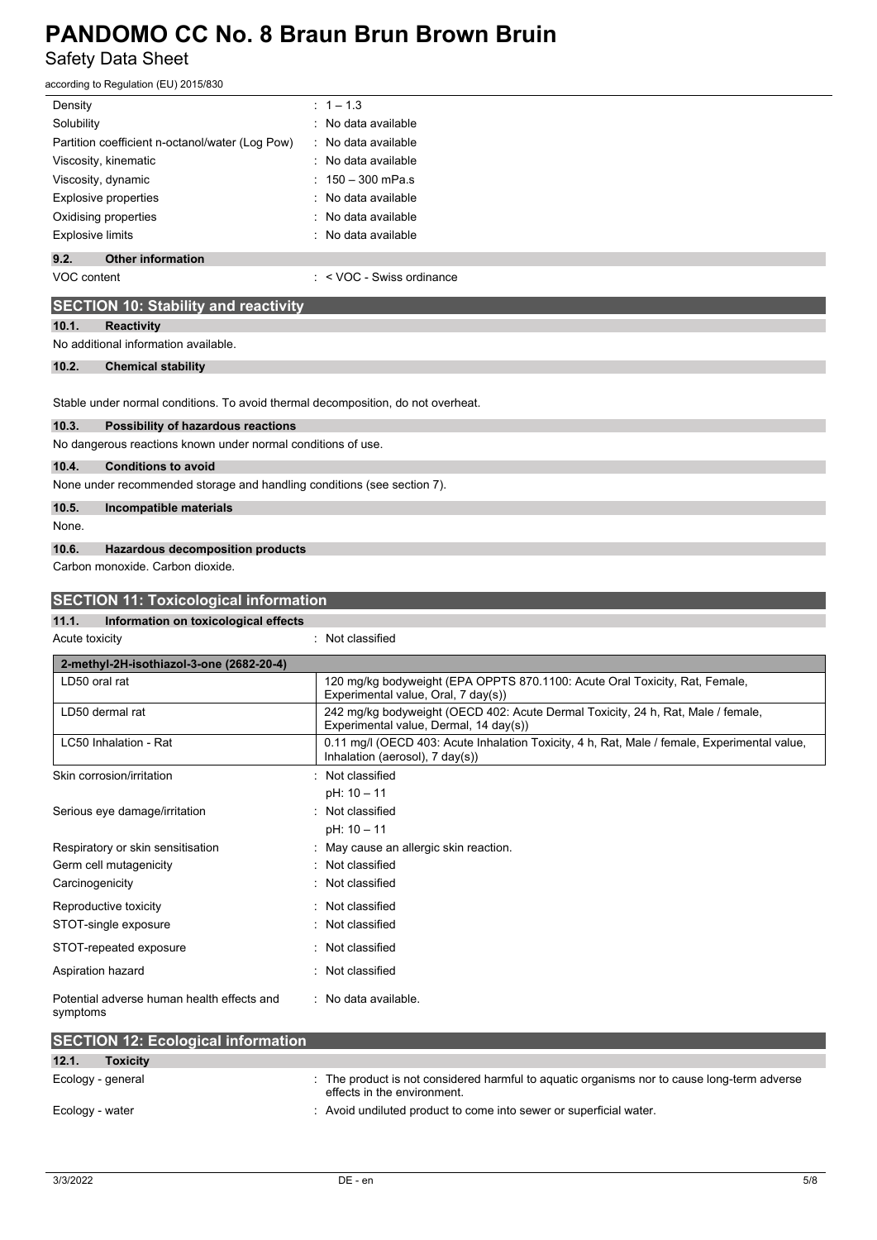# **PANDOMO CC No. 8 Braun Brun Brown Bruin** Safety Data Sheet

| according to Regulation (EU) 2015/830                                            |                                                                                                                                                                                      |  |  |  |
|----------------------------------------------------------------------------------|--------------------------------------------------------------------------------------------------------------------------------------------------------------------------------------|--|--|--|
| Density                                                                          | $: 1 - 1.3$                                                                                                                                                                          |  |  |  |
| Solubility                                                                       | : No data available                                                                                                                                                                  |  |  |  |
| Partition coefficient n-octanol/water (Log Pow)                                  | No data available                                                                                                                                                                    |  |  |  |
| Viscosity, kinematic                                                             | No data available                                                                                                                                                                    |  |  |  |
| Viscosity, dynamic                                                               | 150 - 300 mPa.s                                                                                                                                                                      |  |  |  |
| <b>Explosive properties</b>                                                      | No data available                                                                                                                                                                    |  |  |  |
| Oxidising properties                                                             | No data available                                                                                                                                                                    |  |  |  |
| <b>Explosive limits</b>                                                          | No data available                                                                                                                                                                    |  |  |  |
| 9.2.<br><b>Other information</b>                                                 |                                                                                                                                                                                      |  |  |  |
| VOC content                                                                      | $:$ < VOC - Swiss ordinance                                                                                                                                                          |  |  |  |
| <b>SECTION 10: Stability and reactivity</b>                                      |                                                                                                                                                                                      |  |  |  |
| 10.1.<br><b>Reactivity</b>                                                       |                                                                                                                                                                                      |  |  |  |
| No additional information available.                                             |                                                                                                                                                                                      |  |  |  |
| 10.2.<br><b>Chemical stability</b>                                               |                                                                                                                                                                                      |  |  |  |
| Stable under normal conditions. To avoid thermal decomposition, do not overheat. |                                                                                                                                                                                      |  |  |  |
| 10.3.<br>Possibility of hazardous reactions                                      |                                                                                                                                                                                      |  |  |  |
| No dangerous reactions known under normal conditions of use.                     |                                                                                                                                                                                      |  |  |  |
| 10.4.<br><b>Conditions to avoid</b>                                              |                                                                                                                                                                                      |  |  |  |
| None under recommended storage and handling conditions (see section 7).          |                                                                                                                                                                                      |  |  |  |
| 10.5.<br>Incompatible materials                                                  |                                                                                                                                                                                      |  |  |  |
| None.                                                                            |                                                                                                                                                                                      |  |  |  |
| 10.6.<br><b>Hazardous decomposition products</b>                                 |                                                                                                                                                                                      |  |  |  |
| Carbon monoxide. Carbon dioxide.                                                 |                                                                                                                                                                                      |  |  |  |
|                                                                                  |                                                                                                                                                                                      |  |  |  |
|                                                                                  |                                                                                                                                                                                      |  |  |  |
| <b>SECTION 11: Toxicological information</b>                                     |                                                                                                                                                                                      |  |  |  |
| 11.1.<br>Information on toxicological effects                                    |                                                                                                                                                                                      |  |  |  |
| Acute toxicity                                                                   | : Not classified                                                                                                                                                                     |  |  |  |
|                                                                                  |                                                                                                                                                                                      |  |  |  |
| 2-methyl-2H-isothiazol-3-one (2682-20-4)<br>LD50 oral rat                        | 120 mg/kg bodyweight (EPA OPPTS 870.1100: Acute Oral Toxicity, Rat, Female,                                                                                                          |  |  |  |
| LD50 dermal rat                                                                  | Experimental value, Oral, 7 day(s))<br>242 mg/kg bodyweight (OECD 402: Acute Dermal Toxicity, 24 h, Rat, Male / female,                                                              |  |  |  |
| LC50 Inhalation - Rat                                                            | Experimental value, Dermal, 14 day(s))<br>0.11 mg/l (OECD 403: Acute Inhalation Toxicity, 4 h, Rat, Male / female, Experimental value,<br>Inhalation (aerosol), $7 \text{ day}(s)$ ) |  |  |  |
| Skin corrosion/irritation                                                        | : Not classified                                                                                                                                                                     |  |  |  |
|                                                                                  | pH: 10 - 11                                                                                                                                                                          |  |  |  |
| Serious eye damage/irritation                                                    | : Not classified                                                                                                                                                                     |  |  |  |
|                                                                                  | pH: 10 - 11                                                                                                                                                                          |  |  |  |
| Respiratory or skin sensitisation                                                | : May cause an allergic skin reaction.                                                                                                                                               |  |  |  |
| Germ cell mutagenicity                                                           | Not classified                                                                                                                                                                       |  |  |  |
| Carcinogenicity                                                                  | Not classified                                                                                                                                                                       |  |  |  |
| Reproductive toxicity                                                            | Not classified                                                                                                                                                                       |  |  |  |
| STOT-single exposure                                                             | Not classified                                                                                                                                                                       |  |  |  |
| STOT-repeated exposure                                                           | : Not classified                                                                                                                                                                     |  |  |  |
| Aspiration hazard                                                                | : Not classified                                                                                                                                                                     |  |  |  |
| Potential adverse human health effects and<br>symptoms                           | : No data available.                                                                                                                                                                 |  |  |  |
| <b>SECTION 12: Ecological information</b>                                        |                                                                                                                                                                                      |  |  |  |

Ecology - general states of the product is not considered harmful to aquatic organisms nor to cause long-term adverse effects in the environment. Ecology - water **into a vertice into server that into server or superficial water.** Avoid undiluted product to come into sewer or superficial water.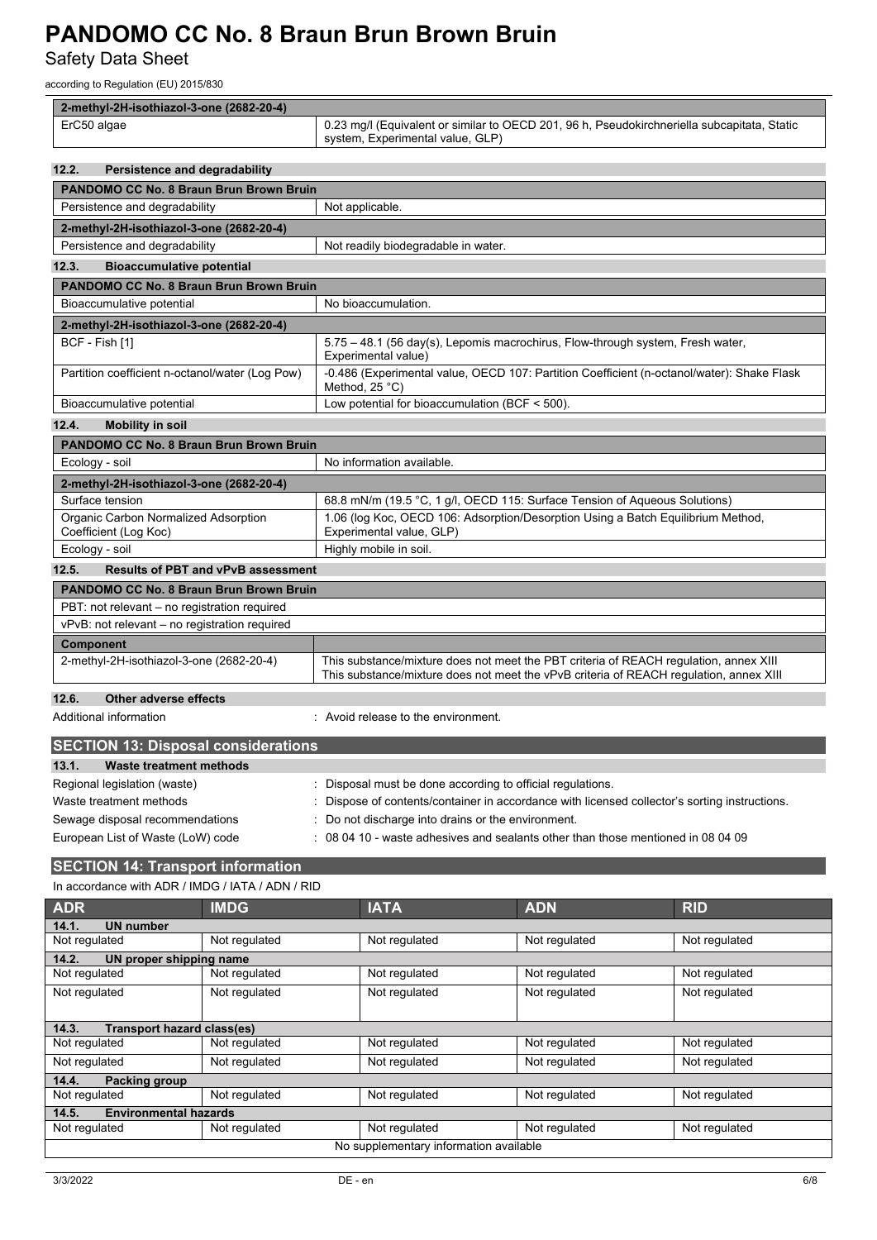Safety Data Sheet

according to Regulation (EU) 2015/830

| 2-methyl-2H-isothiazol-3-one (2682-20-4)                      |                                                                                                                                                                                 |  |  |  |
|---------------------------------------------------------------|---------------------------------------------------------------------------------------------------------------------------------------------------------------------------------|--|--|--|
| ErC50 algae                                                   | 0.23 mg/l (Equivalent or similar to OECD 201, 96 h, Pseudokirchneriella subcapitata, Static<br>system, Experimental value, GLP)                                                 |  |  |  |
| 12.2.<br>Persistence and degradability                        |                                                                                                                                                                                 |  |  |  |
| PANDOMO CC No. 8 Braun Brun Brown Bruin                       |                                                                                                                                                                                 |  |  |  |
| Persistence and degradability                                 | Not applicable.                                                                                                                                                                 |  |  |  |
| 2-methyl-2H-isothiazol-3-one (2682-20-4)                      |                                                                                                                                                                                 |  |  |  |
| Persistence and degradability                                 | Not readily biodegradable in water.                                                                                                                                             |  |  |  |
| 12.3.<br><b>Bioaccumulative potential</b>                     |                                                                                                                                                                                 |  |  |  |
| <b>PANDOMO CC No. 8 Braun Brun Brown Bruin</b>                |                                                                                                                                                                                 |  |  |  |
| Bioaccumulative potential                                     | No bioaccumulation.                                                                                                                                                             |  |  |  |
| 2-methyl-2H-isothiazol-3-one (2682-20-4)                      |                                                                                                                                                                                 |  |  |  |
| BCF - Fish [1]                                                | 5.75 - 48.1 (56 day(s), Lepomis macrochirus, Flow-through system, Fresh water,<br>Experimental value)                                                                           |  |  |  |
| Partition coefficient n-octanol/water (Log Pow)               | -0.486 (Experimental value, OECD 107: Partition Coefficient (n-octanol/water): Shake Flask<br>Method, $25^{\circ}$ C)                                                           |  |  |  |
| Bioaccumulative potential                                     | Low potential for bioaccumulation (BCF $<$ 500).                                                                                                                                |  |  |  |
| 12.4.<br><b>Mobility in soil</b>                              |                                                                                                                                                                                 |  |  |  |
| <b>PANDOMO CC No. 8 Braun Brun Brown Bruin</b>                |                                                                                                                                                                                 |  |  |  |
| Ecology - soil                                                | No information available.                                                                                                                                                       |  |  |  |
| 2-methyl-2H-isothiazol-3-one (2682-20-4)                      |                                                                                                                                                                                 |  |  |  |
| Surface tension                                               | 68.8 mN/m (19.5 °C, 1 g/l, OECD 115: Surface Tension of Aqueous Solutions)                                                                                                      |  |  |  |
| Organic Carbon Normalized Adsorption<br>Coefficient (Log Koc) | 1.06 (log Koc, OECD 106: Adsorption/Desorption Using a Batch Equilibrium Method,<br>Experimental value, GLP)                                                                    |  |  |  |
| Ecology - soil                                                | Highly mobile in soil.                                                                                                                                                          |  |  |  |
| 12.5.<br><b>Results of PBT and vPvB assessment</b>            |                                                                                                                                                                                 |  |  |  |
| PANDOMO CC No. 8 Braun Brun Brown Bruin                       |                                                                                                                                                                                 |  |  |  |
| PBT: not relevant - no registration required                  |                                                                                                                                                                                 |  |  |  |
| vPvB: not relevant - no registration required                 |                                                                                                                                                                                 |  |  |  |
| Component                                                     |                                                                                                                                                                                 |  |  |  |
| 2-methyl-2H-isothiazol-3-one (2682-20-4)                      | This substance/mixture does not meet the PBT criteria of REACH regulation, annex XIII<br>This substance/mixture does not meet the vPvB criteria of REACH regulation, annex XIII |  |  |  |
| 12.6.<br>Other adverse effects                                |                                                                                                                                                                                 |  |  |  |
| Additional information                                        | : Avoid release to the environment.                                                                                                                                             |  |  |  |
| <b>SECTION 13: Disposal considerations</b>                    |                                                                                                                                                                                 |  |  |  |
| 13.1.<br><b>Waste treatment methods</b>                       |                                                                                                                                                                                 |  |  |  |
| Regional legislation (waste)                                  | Disposal must be done according to official regulations.                                                                                                                        |  |  |  |
| Waste treatment methods                                       | Dispose of contents/container in accordance with licensed collector's sorting instructions.                                                                                     |  |  |  |
| Sewage disposal recommendations                               | Do not discharge into drains or the environment.                                                                                                                                |  |  |  |
| European List of Waste (LoW) code                             | 08 04 10 - waste adhesives and sealants other than those mentioned in 08 04 09                                                                                                  |  |  |  |
| <b>SECTION 14: Transport information</b>                      |                                                                                                                                                                                 |  |  |  |
| In accordance with ADR / IMDG / IATA / ADN / RID              |                                                                                                                                                                                 |  |  |  |
| $\blacksquare$<br><b>ADD</b>                                  |                                                                                                                                                                                 |  |  |  |

| Packing group<br>14.4.                 |  |  |  |  |  |
|----------------------------------------|--|--|--|--|--|
|                                        |  |  |  |  |  |
| <b>Environmental hazards</b><br>14.5.  |  |  |  |  |  |
|                                        |  |  |  |  |  |
| No supplementary information available |  |  |  |  |  |
|                                        |  |  |  |  |  |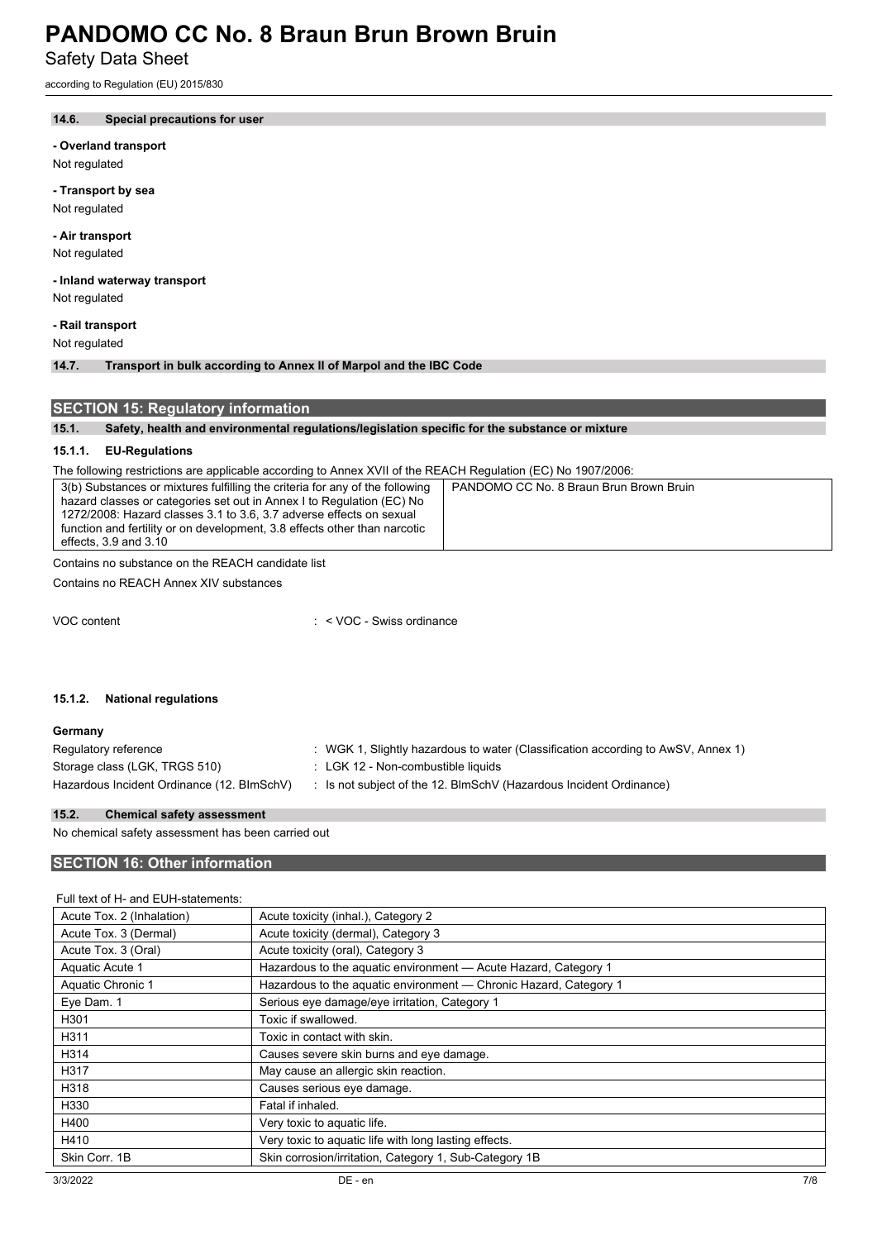Safety Data Sheet

according to Regulation (EU) 2015/830

# **14.6. Special precautions for user**

**- Overland transport**

Not regulated

**- Transport by sea** Not regulated

**- Air transport** Not regulated

**- Inland waterway transport** Not regulated

**- Rail transport**

Not regulated

**14.7. Transport in bulk according to Annex II of Marpol and the IBC Code**

# **SECTION 15: Regulatory information**

# **15.1. Safety, health and environmental regulations/legislation specific for the substance or mixture**

# **15.1.1. EU-Regulations**

The following restrictions are applicable according to Annex XVII of the REACH Regulation (EC) No 1907/2006:

| 3(b) Substances or mixtures fulfilling the criteria for any of the following | PANDOMO CC No. 8 Braun Brun Brown Bruin |
|------------------------------------------------------------------------------|-----------------------------------------|
| hazard classes or categories set out in Annex I to Regulation (EC) No        |                                         |
| 1272/2008: Hazard classes 3.1 to 3.6, 3.7 adverse effects on sexual          |                                         |
| function and fertility or on development, 3.8 effects other than narcotic    |                                         |
| effects, 3.9 and 3.10                                                        |                                         |

Contains no substance on the REACH candidate list

Contains no REACH Annex XIV substances

VOC content : < VOC - Swiss ordinance

## **15.1.2. National regulations**

| Germany                                    |                                                                                  |
|--------------------------------------------|----------------------------------------------------------------------------------|
| Regulatory reference                       | : WGK 1, Slightly hazardous to water (Classification according to AwSV, Annex 1) |
| Storage class (LGK, TRGS 510)              | : LGK 12 - Non-combustible liquids                                               |
| Hazardous Incident Ordinance (12. BImSchV) | : Is not subject of the 12. BlmSchV (Hazardous Incident Ordinance)               |

#### **15.2. Chemical safety assessment**

No chemical safety assessment has been carried out

# **SECTION 16: Other information**

# Full text of H- and EUH-statements:

| Acute Tox. 2 (Inhalation) | Acute toxicity (inhal.), Category 2                               |
|---------------------------|-------------------------------------------------------------------|
| Acute Tox. 3 (Dermal)     | Acute toxicity (dermal), Category 3                               |
| Acute Tox. 3 (Oral)       | Acute toxicity (oral), Category 3                                 |
| Aquatic Acute 1           | Hazardous to the aquatic environment - Acute Hazard, Category 1   |
| Aquatic Chronic 1         | Hazardous to the aquatic environment - Chronic Hazard, Category 1 |
| Eye Dam. 1                | Serious eve damage/eve irritation, Category 1                     |
| H301                      | Toxic if swallowed.                                               |
| H311                      | Toxic in contact with skin.                                       |
| H314                      | Causes severe skin burns and eye damage.                          |
| H317                      | May cause an allergic skin reaction.                              |
| H318                      | Causes serious eye damage.                                        |
| H330                      | Fatal if inhaled.                                                 |
| H400                      | Very toxic to aquatic life.                                       |
| H410                      | Very toxic to aquatic life with long lasting effects.             |
| Skin Corr. 1B             | Skin corrosion/irritation, Category 1, Sub-Category 1B            |